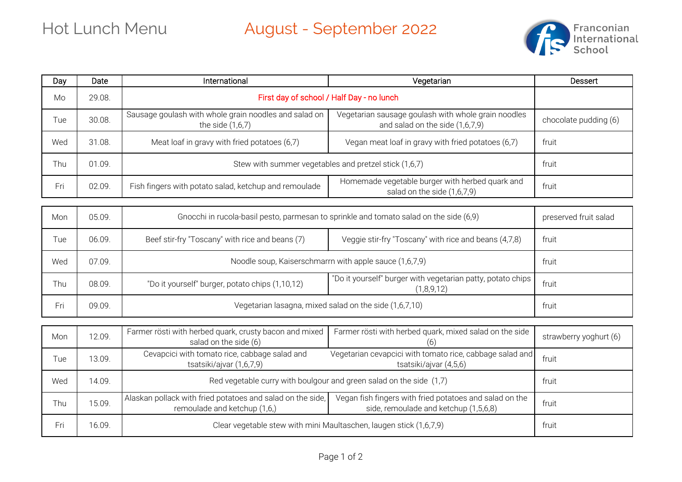## Hot Lunch Menu August - September 2022



| Day        | Date   | International                                                                              | Vegetarian                                                                                       | Dessert                |
|------------|--------|--------------------------------------------------------------------------------------------|--------------------------------------------------------------------------------------------------|------------------------|
| Mo         | 29.08. | First day of school / Half Day - no lunch                                                  |                                                                                                  |                        |
| Tue        | 30.08. | Sausage goulash with whole grain noodles and salad on<br>the side $(1,6,7)$                | Vegetarian sausage goulash with whole grain noodles<br>and salad on the side (1,6,7,9)           | chocolate pudding (6)  |
| Wed        | 31.08. | Meat loaf in gravy with fried potatoes (6,7)                                               | Vegan meat loaf in gravy with fried potatoes (6,7)                                               | fruit                  |
| Thu        | 01.09. | Stew with summer vegetables and pretzel stick (1,6,7)                                      |                                                                                                  | fruit                  |
| Fri        | 02.09. | Fish fingers with potato salad, ketchup and remoulade                                      | Homemade vegetable burger with herbed quark and<br>salad on the side (1,6,7,9)                   | fruit                  |
| Mon        | 05.09. | Gnocchi in rucola-basil pesto, parmesan to sprinkle and tomato salad on the side (6,9)     |                                                                                                  | preserved fruit salad  |
| Tue        | 06.09. | Beef stir-fry "Toscany" with rice and beans (7)                                            | Veggie stir-fry "Toscany" with rice and beans (4,7,8)                                            | fruit                  |
| Wed        | 07.09. | Noodle soup, Kaiserschmarrn with apple sauce (1,6,7,9)                                     |                                                                                                  | fruit                  |
| <b>Thu</b> | 08.09. | "Do it yourself" burger, potato chips (1,10,12)                                            | "Do it yourself" burger with vegetarian patty, potato chips<br>(1,8,9,12)                        | fruit                  |
| Fri        | 09.09. | Vegetarian lasagna, mixed salad on the side (1,6,7,10)                                     |                                                                                                  | fruit                  |
| Mon        | 12.09. | Farmer rösti with herbed quark, crusty bacon and mixed<br>salad on the side (6)            | Farmer rösti with herbed quark, mixed salad on the side                                          | strawberry yoghurt (6) |
| Tue        | 13.09. | Cevapcici with tomato rice, cabbage salad and<br>tsatsiki/ajvar (1,6,7,9)                  | Vegetarian cevapcici with tomato rice, cabbage salad and<br>tsatsiki/ajvar (4,5,6)               | fruit                  |
| Wed        | 14.09. | Red vegetable curry with boulgour and green salad on the side (1,7)                        |                                                                                                  | fruit                  |
| Thu        | 15.09. | Alaskan pollack with fried potatoes and salad on the side,<br>remoulade and ketchup (1,6,) | Vegan fish fingers with fried potatoes and salad on the<br>side, remoulade and ketchup (1,5,6,8) | fruit                  |
| Fri        | 16.09. | Clear vegetable stew with mini Maultaschen, laugen stick (1,6,7,9)                         |                                                                                                  | fruit                  |